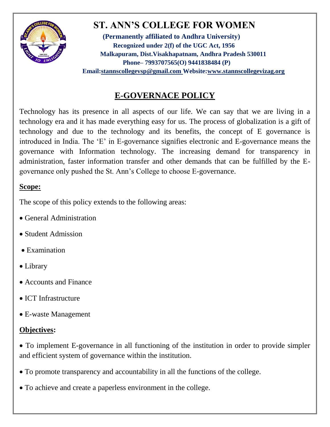

# **ST. ANN'S COLLEGE FOR WOMEN**

**(Permanently affiliated to Andhra University) Recognized under 2(f) of the UGC Act, 1956 Malkapuram, Dist.Visakhapatnam, Andhra Pradesh 530011 Phone– 7993707565(O) 9441838484 (P) Email[:stannscollegevsp@gmail.com W](mailto:stannscollegevsp@gmail.com)ebsite[:www.stannscollegevizag.org](http://www.stannscollegevizag.org/)**

## **E-GOVERNACE POLICY**

Technology has its presence in all aspects of our life. We can say that we are living in a technology era and it has made everything easy for us. The process of globalization is a gift of technology and due to the technology and its benefits, the concept of E governance is introduced in India. The 'E' in E-governance signifies electronic and E-governance means the governance with Information technology. The increasing demand for transparency in administration, faster information transfer and other demands that can be fulfilled by the Egovernance only pushed the St. Ann's College to choose E-governance.

#### **Scope:**

The scope of this policy extends to the following areas:

- General Administration
- Student Admission
- Examination
- Library
- Accounts and Finance
- ICT Infrastructure
- E-waste Management

### **Objectives:**

 To implement E-governance in all functioning of the institution in order to provide simpler and efficient system of governance within the institution.

- To promote transparency and accountability in all the functions of the college.
- To achieve and create a paperless environment in the college.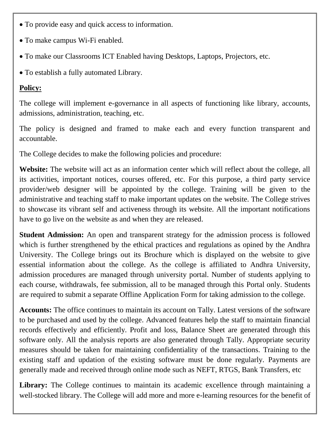- To provide easy and quick access to information.
- To make campus Wi-Fi enabled.
- To make our Classrooms ICT Enabled having Desktops, Laptops, Projectors, etc.
- To establish a fully automated Library.

#### **Policy:**

The college will implement e-governance in all aspects of functioning like library, accounts, admissions, administration, teaching, etc.

The policy is designed and framed to make each and every function transparent and accountable.

The College decides to make the following policies and procedure:

**Website:** The website will act as an information center which will reflect about the college, all its activities, important notices, courses offered, etc. For this purpose, a third party service provider/web designer will be appointed by the college. Training will be given to the administrative and teaching staff to make important updates on the website. The College strives to showcase its vibrant self and activeness through its website. All the important notifications have to go live on the website as and when they are released.

**Student Admission:** An open and transparent strategy for the admission process is followed which is further strengthened by the ethical practices and regulations as opined by the Andhra University. The College brings out its Brochure which is displayed on the website to give essential information about the college. As the college is affiliated to Andhra University, admission procedures are managed through university portal. Number of students applying to each course, withdrawals, fee submission, all to be managed through this Portal only. Students are required to submit a separate Offline Application Form for taking admission to the college.

**Accounts:** The office continues to maintain its account on Tally. Latest versions of the software to be purchased and used by the college. Advanced features help the staff to maintain financial records effectively and efficiently. Profit and loss, Balance Sheet are generated through this software only. All the analysis reports are also generated through Tally. Appropriate security measures should be taken for maintaining confidentiality of the transactions. Training to the existing staff and updation of the existing software must be done regularly. Payments are generally made and received through online mode such as NEFT, RTGS, Bank Transfers, etc

**Library:** The College continues to maintain its academic excellence through maintaining a well-stocked library. The College will add more and more e-learning resources for the benefit of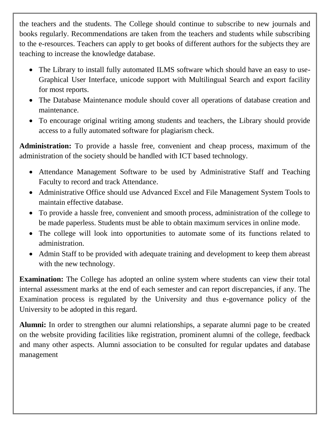the teachers and the students. The College should continue to subscribe to new journals and books regularly. Recommendations are taken from the teachers and students while subscribing to the e-resources. Teachers can apply to get books of different authors for the subjects they are teaching to increase the knowledge database.

- The Library to install fully automated ILMS software which should have an easy to use-Graphical User Interface, unicode support with Multilingual Search and export facility for most reports.
- The Database Maintenance module should cover all operations of database creation and maintenance.
- To encourage original writing among students and teachers, the Library should provide access to a fully automated software for plagiarism check.

**Administration:** To provide a hassle free, convenient and cheap process, maximum of the administration of the society should be handled with ICT based technology.

- Attendance Management Software to be used by Administrative Staff and Teaching Faculty to record and track Attendance.
- Administrative Office should use Advanced Excel and File Management System Tools to maintain effective database.
- To provide a hassle free, convenient and smooth process, administration of the college to be made paperless. Students must be able to obtain maximum services in online mode.
- The college will look into opportunities to automate some of its functions related to administration.
- Admin Staff to be provided with adequate training and development to keep them abreast with the new technology.

**Examination:** The College has adopted an online system where students can view their total internal assessment marks at the end of each semester and can report discrepancies, if any. The Examination process is regulated by the University and thus e-governance policy of the University to be adopted in this regard.

**Alumni:** In order to strengthen our alumni relationships, a separate alumni page to be created on the website providing facilities like registration, prominent alumni of the college, feedback and many other aspects. Alumni association to be consulted for regular updates and database management